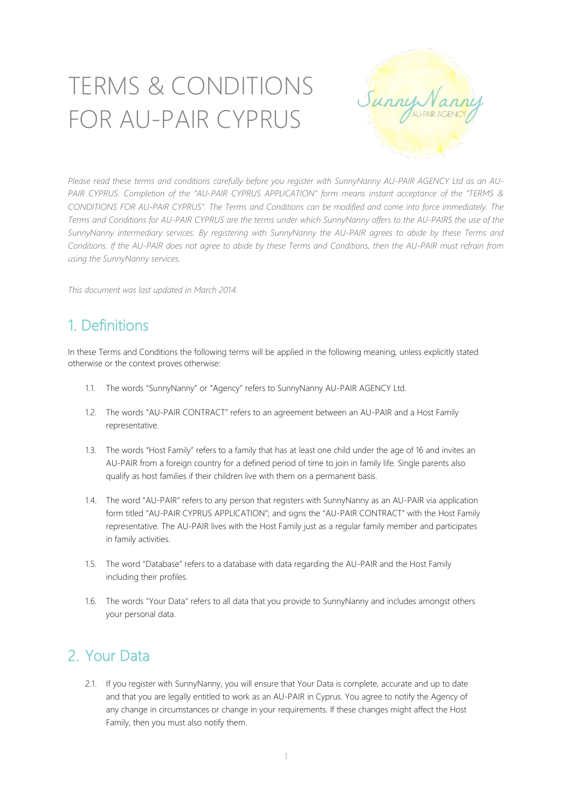# TERMS & CONDITIONS FOR AU-PAIR CYPRUS



Please read these terms and conditions carefully before you register with SunnyNanny AU-PAIR AGENCY Ltd as an AU-*PAIR CYPRUS. Completion of the "AU-PAIR CYPRUS APPLICATION" form means instant acceptance of the "TERMS &* CONDITIONS FOR AU-PAIR CYPRUS". The Terms and Conditions can be modified and come into force immediately. The Terms and Conditions for AU-PAIR CYPRUS are the terms under which SunnyNanny offers to the AU-PAIRS the use of the *SunnyNanny intermediary services. By registering with SunnyNanny the AU-PAIR agrees to abide by these Terms and* Conditions. If the AU-PAIR does not agree to abide by these Terms and Conditions, then the AU-PAIR must refrain from *using the SunnyNanny services.*

*This document was last updated in March 2014.*

# 1. Definitions

In these Terms and Conditions the following terms will be applied in the following meaning, unless explicitly stated otherwise or the context proves otherwise:

- 1.1. The words "SunnyNanny" or "Agency" refers to SunnyNanny AU-PAIR AGENCY Ltd.
- 1.2. The words "AU-PAIR CONTRACT" refers to an agreement between an AU-PAIR and a Host Family representative.
- 1.3. The words "Host Family" refers to a family that has at least one child under the age of 16 and invites an AU-PAIR from a foreign country for a defined period of time to join in family life. Single parents also qualify as host families if their children live with them on a permanent basis.
- 1.4. The word "AU-PAIR" refers to any person that registers with SunnyNanny as an AU-PAIR via application form titled "AU-PAIR CYPRUS APPLICATION"; and signs the "AU-PAIR CONTRACT" with the Host Family representative. The AU-PAIR lives with the Host Family just as a regular family member and participates in family activities.
- 1.5. The word "Database" refers to a database with data regarding the AU-PAIR and the Host Family including their profiles.
- 1.6. The words "Your Data" refers to all data that you provide to SunnyNanny and includes amongst others your personal data.

## 2. Your Data

2.1. If you register with SunnyNanny, you will ensure that Your Data is complete, accurate and up to date and that you are legally entitled to work as an AU-PAIR in Cyprus. You agree to notify the Agency of any change in circumstances or change in your requirements. If these changes might affect the Host Family, then you must also notify them.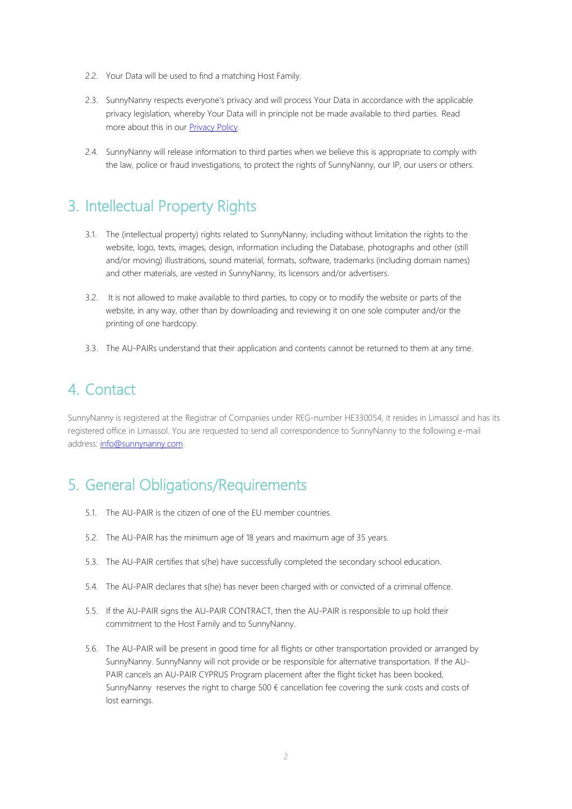- 2.2. Your Data will be used to find a matching Host Family.
- 2.3. SunnyNanny respects everyone's privacy and will process Your Data in accordance with the applicable privacy legislation, whereby Your Data will in principle not be made available to third parties. Read more about this in our [Privacy Policy.](http://media.wix.com/ugd/4e2671_57bcc5978f334b22ad098be9843f3590.pdf)
- 2.4. SunnyNanny will release information to third parties when we believe this is appropriate to comply with the law, police or fraud investigations, to protect the rights of SunnyNanny, our IP, our users or others.

# 3. Intellectual Property Rights

- 3.1. The (intellectual property) rights related to SunnyNanny, including without limitation the rights to the website, logo, texts, images, design, information including the Database, photographs and other (still and/or moving) illustrations, sound material, formats, software, trademarks (including domain names) and other materials, are vested in SunnyNanny, its licensors and/or advertisers.
- 3.2. It is not allowed to make available to third parties, to copy or to modify the website or parts of the website, in any way, other than by downloading and reviewing it on one sole computer and/or the printing of one hardcopy.
- 3.3. The AU-PAIRs understand that their application and contents cannot be returned to them at any time.

## 4. Contact

SunnyNanny is registered at the Registrar of Companies under REG-number HE330054, it resides in Limassol and has its registered office in Limassol. You are requested to send all correspondence to SunnyNanny to the following e-mail address: info@sunnynanny.com.

## 5. General Obligations/Requirements

- 5.1. The AU-PAIR is the citizen of one of the EU member countries.
- 5.2. The AU-PAIR has the minimum age of 18 years and maximum age of 35 years.
- 5.3. The AU-PAIR certifies that s(he) have successfully completed the secondary school education.
- 5.4. The AU-PAIR declares that s(he) has never been charged with or convicted of a criminal offence.
- 5.5. If the AU-PAIR signs the AU-PAIR CONTRACT, then the AU-PAIR is responsible to up hold their commitment to the Host Family and to SunnyNanny.
- 5.6. The AU-PAIR will be present in good time for all flights or other transportation provided or arranged by SunnyNanny. SunnyNanny will not provide or be responsible for alternative transportation. If the AU-PAIR cancels an AU-PAIR CYPRUS Program placement after the flight ticket has been booked, SunnyNanny reserves the right to charge 500 € cancellation fee covering the sunk costs and costs of lost earnings.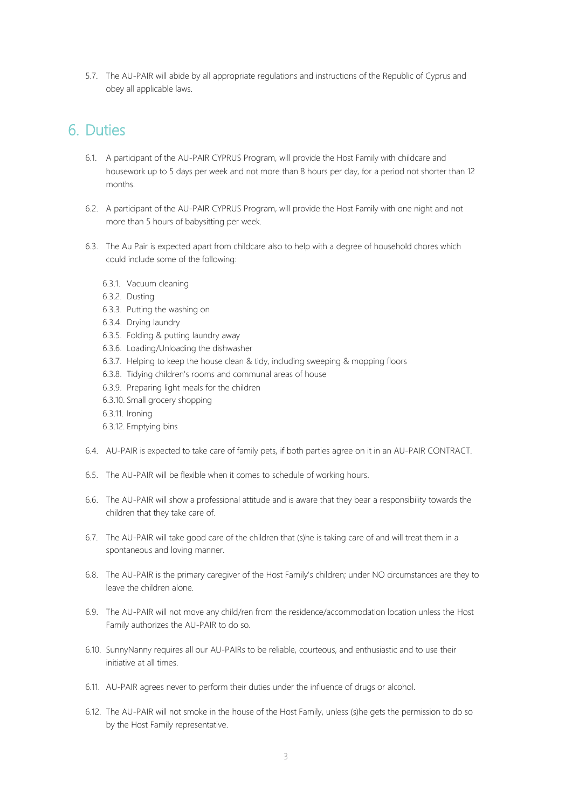5.7. The AU-PAIR will abide by all appropriate regulations and instructions of the Republic of Cyprus and obey all applicable laws.

#### 6. Duties

- 6.1. A participant of the AU-PAIR CYPRUS Program, will provide the Host Family with childcare and housework up to 5 days per week and not more than 8 hours per day, for a period not shorter than 12 months.
- 6.2. A participant of the AU-PAIR CYPRUS Program, will provide the Host Family with one night and not more than 5 hours of babysitting per week.
- 6.3. The Au Pair is expected apart from childcare also to help with a degree of household chores which could include some of the following:
	- 6.3.1. Vacuum cleaning
	- 6.3.2. Dusting
	- 6.3.3. Putting the washing on
	- 6.3.4. Drying laundry
	- 6.3.5. Folding & putting laundry away
	- 6.3.6. Loading/Unloading the dishwasher
	- 6.3.7. Helping to keep the house clean & tidy, including sweeping & mopping floors
	- 6.3.8. Tidying children's rooms and communal areas of house
	- 6.3.9. Preparing light meals for the children
	- 6.3.10. Small grocery shopping
	- 6.3.11. Ironing
	- 6.3.12. Emptying bins
- 6.4. AU-PAIR is expected to take care of family pets, if both parties agree on it in an AU-PAIR CONTRACT.
- 6.5. The AU-PAIR will be flexible when it comes to schedule of working hours.
- 6.6. The AU-PAIR will show a professional attitude and is aware that they bear a responsibility towards the children that they take care of.
- 6.7. The AU-PAIR will take good care of the children that (s)he is taking care of and will treat them in a spontaneous and loving manner.
- 6.8. The AU-PAIR is the primary caregiver of the Host Family's children; under NO circumstances are they to leave the children alone.
- 6.9. The AU-PAIR will not move any child/ren from the residence/accommodation location unless the Host Family authorizes the AU-PAIR to do so.
- 6.10. SunnyNanny requires all our AU-PAIRs to be reliable, courteous, and enthusiastic and to use their initiative at all times.
- 6.11. AU-PAIR agrees never to perform their duties under the influence of drugs or alcohol.
- 6.12. The AU-PAIR will not smoke in the house of the Host Family, unless (s)he gets the permission to do so by the Host Family representative.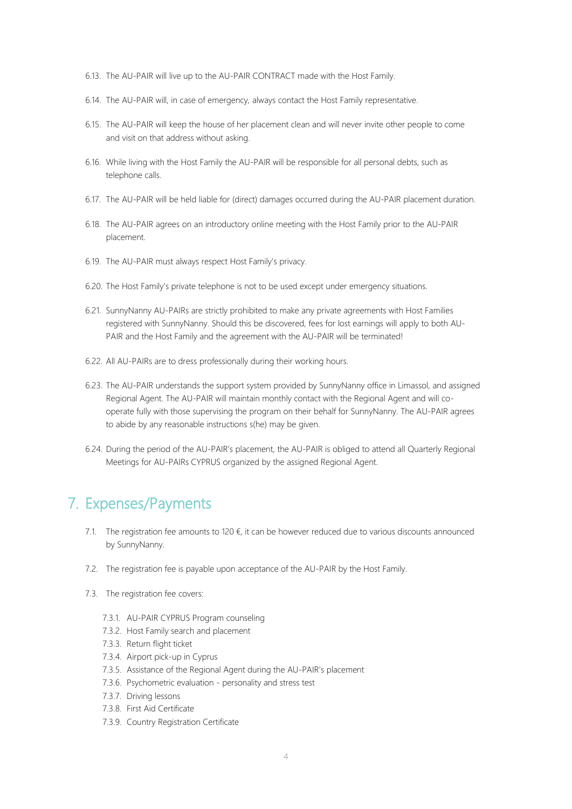- 6.13. The AU-PAIR will live up to the AU-PAIR CONTRACT made with the Host Family.
- 6.14. The AU-PAIR will, in case of emergency, always contact the Host Family representative.
- 6.15. The AU-PAIR will keep the house of her placement clean and will never invite other people to come and visit on that address without asking.
- 6.16. While living with the Host Family the AU-PAIR will be responsible for all personal debts, such as telephone calls.
- 6.17. The AU-PAIR will be held liable for (direct) damages occurred during the AU-PAIR placement duration.
- 6.18. The AU-PAIR agrees on an introductory online meeting with the Host Family prior to the AU-PAIR placement.
- 6.19. The AU-PAIR must always respect Host Family's privacy.
- 6.20. The Host Family's private telephone is not to be used except under emergency situations.
- 6.21. SunnyNanny AU-PAIRs are strictly prohibited to make any private agreements with Host Families registered with SunnyNanny. Should this be discovered, fees for lost earnings will apply to both AU-PAIR and the Host Family and the agreement with the AU-PAIR will be terminated!
- 6.22. All AU-PAIRs are to dress professionally during their working hours.
- 6.23. The AU-PAIR understands the support system provided by SunnyNanny office in Limassol, and assigned Regional Agent. The AU-PAIR will maintain monthly contact with the Regional Agent and will cooperate fully with those supervising the program on their behalf for SunnyNanny. The AU-PAIR agrees to abide by any reasonable instructions s(he) may be given.
- 6.24. During the period of the AU-PAIR's placement, the AU-PAIR is obliged to attend all Quarterly Regional Meetings for AU-PAIRs CYPRUS organized by the assigned Regional Agent.

#### 7. Expenses/Payments

- 7.1. The registration fee amounts to 120  $\epsilon$ , it can be however reduced due to various discounts announced by SunnyNanny.
- 7.2. The registration fee is payable upon acceptance of the AU-PAIR by the Host Family.
- 7.3. The registration fee covers:
	- 7.3.1. AU-PAIR CYPRUS Program counseling
	- 7.3.2. Host Family search and placement
	- 7.3.3. Return flight ticket
	- 7.3.4. Airport pick-up in Cyprus
	- 7.3.5. Assistance of the Regional Agent during the AU-PAIR's placement
	- 7.3.6. Psychometric evaluation personality and stress test
	- 7.3.7. Driving lessons
	- 7.3.8. First Aid Certificate
	- 7.3.9. Country Registration Certificate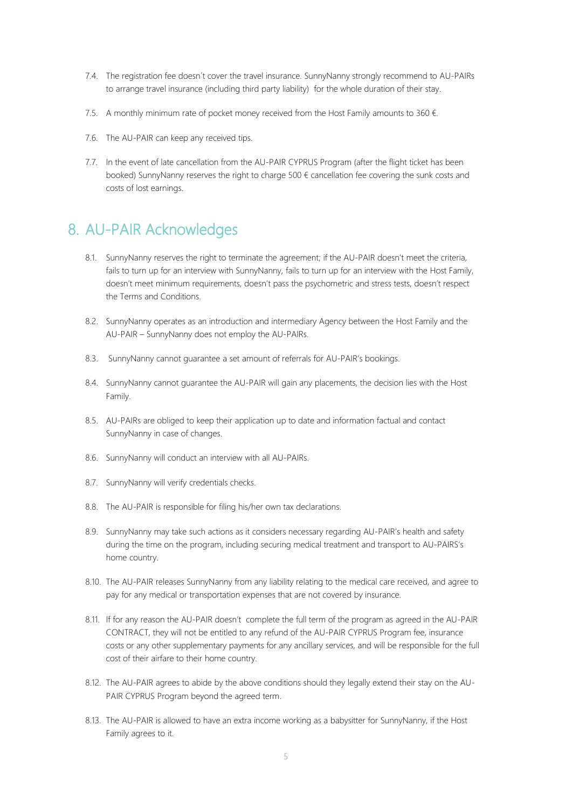- 7.4. The registration fee doesn´t cover the travel insurance. SunnyNanny strongly recommend to AU-PAIRs to arrange travel insurance (including third party liability) for the whole duration of their stay.
- 7.5. A monthly minimum rate of pocket money received from the Host Family amounts to 360  $\epsilon$ .
- 7.6. The AU-PAIR can keep any received tips.
- 7.7. In the event of late cancellation from the AU-PAIR CYPRUS Program (after the flight ticket has been booked) SunnyNanny reserves the right to charge 500 € cancellation fee covering the sunk costs and costs of lost earnings.

#### 8. AU-PAIR Acknowledges

- 8.1. SunnyNanny reserves the right to terminate the agreement; if the AU-PAIR doesn't meet the criteria, fails to turn up for an interview with SunnyNanny, fails to turn up for an interview with the Host Family, doesn't meet minimum requirements, doesn't pass the psychometric and stress tests, doesn't respect the Terms and Conditions.
- 8.2. SunnyNanny operates as an introduction and intermediary Agency between the Host Family and the AU-PAIR – SunnyNanny does not employ the AU-PAIRs.
- 8.3. SunnyNanny cannot guarantee a set amount of referrals for AU-PAIR's bookings.
- 8.4. SunnyNanny cannot guarantee the AU-PAIR will gain any placements, the decision lies with the Host Family.
- 8.5. AU-PAIRs are obliged to keep their application up to date and information factual and contact SunnyNanny in case of changes.
- 8.6. SunnyNanny will conduct an interview with all AU-PAIRs.
- 8.7. SunnyNanny will verify credentials checks.
- 8.8. The AU-PAIR is responsible for filing his/her own tax declarations.
- 8.9. SunnyNanny may take such actions as it considers necessary regarding AU-PAIR's health and safety during the time on the program, including securing medical treatment and transport to AU-PAIRS's home country.
- 8.10. The AU-PAIR releases SunnyNanny from any liability relating to the medical care received, and agree to pay for any medical or transportation expenses that are not covered by insurance.
- 8.11. If for any reason the AU-PAIR doesn't complete the full term of the program as agreed in the AU-PAIR CONTRACT, they will not be entitled to any refund of the AU-PAIR CYPRUS Program fee, insurance costs or any other supplementary payments for any ancillary services, and will be responsible for the full cost of their airfare to their home country.
- 8.12. The AU-PAIR agrees to abide by the above conditions should they legally extend their stay on the AU-PAIR CYPRUS Program beyond the agreed term.
- 8.13. The AU-PAIR is allowed to have an extra income working as a babysitter for SunnyNanny, if the Host Family agrees to it.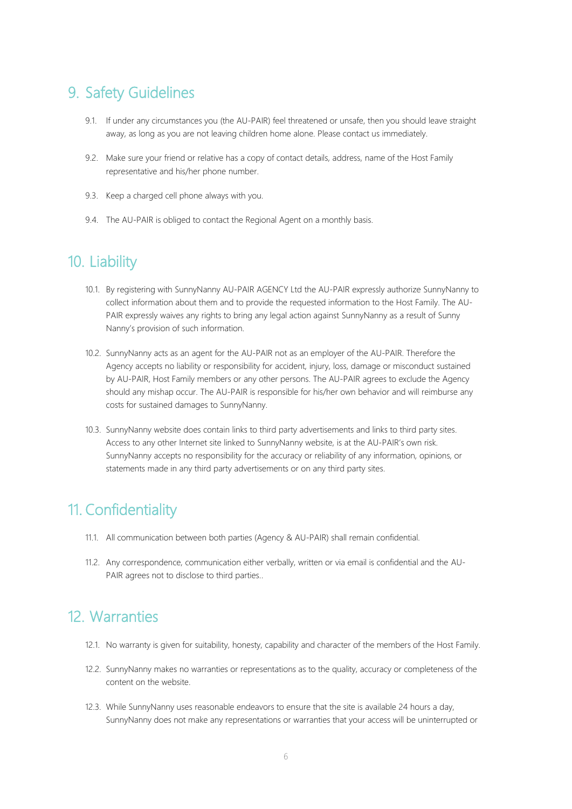## 9. Safety Guidelines

- 9.1. If under any circumstances you (the AU-PAIR) feel threatened or unsafe, then you should leave straight away, as long as you are not leaving children home alone. Please contact us immediately.
- 9.2. Make sure your friend or relative has a copy of contact details, address, name of the Host Family representative and his/her phone number.
- 9.3. Keep a charged cell phone always with you.
- 9.4. The AU-PAIR is obliged to contact the Regional Agent on a monthly basis.

## 10. Liability

- 10.1. By registering with SunnyNanny AU-PAIR AGENCY Ltd the AU-PAIR expressly authorize SunnyNanny to collect information about them and to provide the requested information to the Host Family. The AU-PAIR expressly waives any rights to bring any legal action against SunnyNanny as a result of Sunny Nanny's provision of such information.
- 10.2. SunnyNanny acts as an agent for the AU-PAIR not as an employer of the AU-PAIR. Therefore the Agency accepts no liability or responsibility for accident, injury, loss, damage or misconduct sustained by AU-PAIR, Host Family members or any other persons. The AU-PAIR agrees to exclude the Agency should any mishap occur. The AU-PAIR is responsible for his/her own behavior and will reimburse any costs for sustained damages to SunnyNanny.
- 10.3. SunnyNanny website does contain links to third party advertisements and links to third party sites. Access to any other Internet site linked to SunnyNanny website, is at the AU-PAIR's own risk. SunnyNanny accepts no responsibility for the accuracy or reliability of any information, opinions, or statements made in any third party advertisements or on any third party sites.

## 11. Confidentiality

- 11.1. All communication between both parties (Agency & AU-PAIR) shall remain confidential.
- 11.2. Any correspondence, communication either verbally, written or via email is confidential and the AU-PAIR agrees not to disclose to third parties..

#### 12. Warranties

- 12.1. No warranty is given for suitability, honesty, capability and character of the members of the Host Family.
- 12.2. SunnyNanny makes no warranties or representations as to the quality, accuracy or completeness of the content on the website.
- 12.3. While SunnyNanny uses reasonable endeavors to ensure that the site is available 24 hours a day, SunnyNanny does not make any representations or warranties that your access will be uninterrupted or